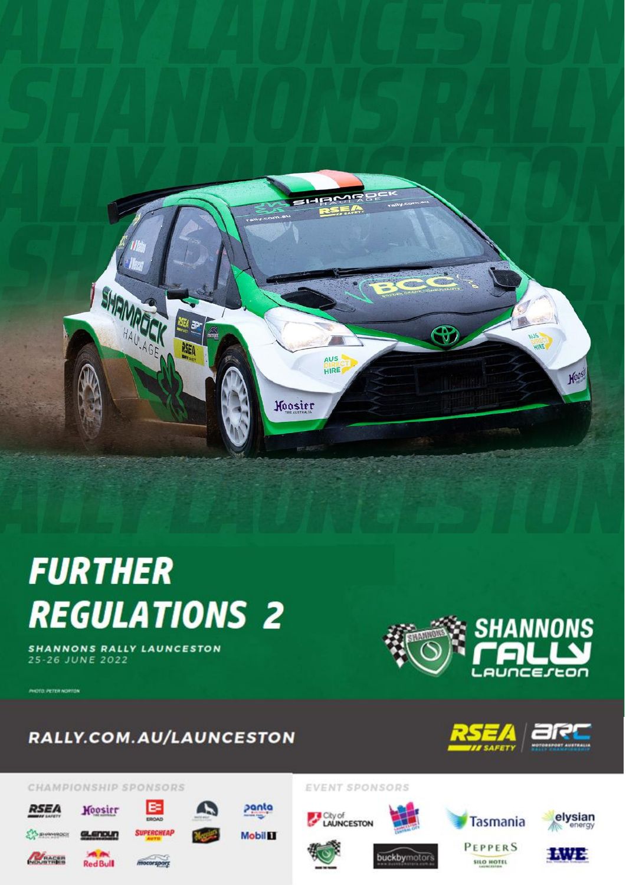

# **FURTHER REGULATIONS 2**

**SHANNONS RALLY LAUNCESTON** 25-26 JUNE 2022

**MOTO PETER NORTON** 

**RSEA** 

**EY SHANROON** 

**MACER** 



## RALLY.COM.AU/LAUNCESTON

₿

**SUPERCHEAP** 

motorsport



#### CHAMPIONSHIP SPONSORS

Hoosier

GLENOUN

**Red Bull** 







**PEPPERS** 

SILO HOTEL







panta

**Mobil II** 

buckbymotors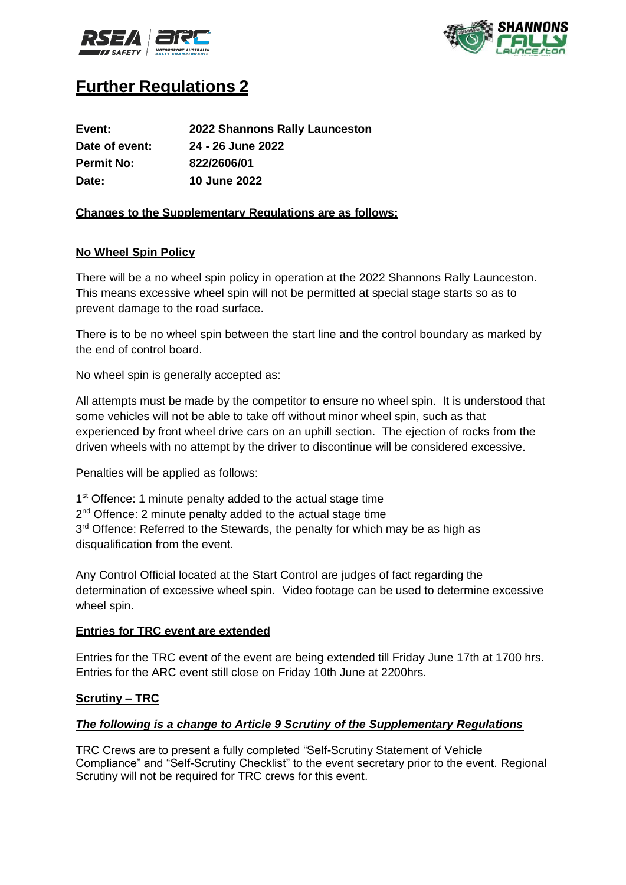



### **Further Regulations 2**

| Event:            | 2022 Shannons Rally Launceston |
|-------------------|--------------------------------|
| Date of event:    | 24 - 26 June 2022              |
| <b>Permit No:</b> | 822/2606/01                    |
| Date:             | <b>10 June 2022</b>            |

#### **Changes to the Supplementary Regulations are as follows:**

#### **No Wheel Spin Policy**

There will be a no wheel spin policy in operation at the 2022 Shannons Rally Launceston. This means excessive wheel spin will not be permitted at special stage starts so as to prevent damage to the road surface.

There is to be no wheel spin between the start line and the control boundary as marked by the end of control board.

No wheel spin is generally accepted as:

All attempts must be made by the competitor to ensure no wheel spin. It is understood that some vehicles will not be able to take off without minor wheel spin, such as that experienced by front wheel drive cars on an uphill section. The ejection of rocks from the driven wheels with no attempt by the driver to discontinue will be considered excessive.

Penalties will be applied as follows:

1<sup>st</sup> Offence: 1 minute penalty added to the actual stage time

2<sup>nd</sup> Offence: 2 minute penalty added to the actual stage time

3<sup>rd</sup> Offence: Referred to the Stewards, the penalty for which may be as high as disqualification from the event.

Any Control Official located at the Start Control are judges of fact regarding the determination of excessive wheel spin. Video footage can be used to determine excessive wheel spin.

#### **Entries for TRC event are extended**

Entries for the TRC event of the event are being extended till Friday June 17th at 1700 hrs. Entries for the ARC event still close on Friday 10th June at 2200hrs.

#### **Scrutiny – TRC**

#### *The following is a change to Article 9 Scrutiny of the Supplementary Regulations*

TRC Crews are to present a fully completed "Self-Scrutiny Statement of Vehicle Compliance" and "Self-Scrutiny Checklist" to the event secretary prior to the event. Regional Scrutiny will not be required for TRC crews for this event.